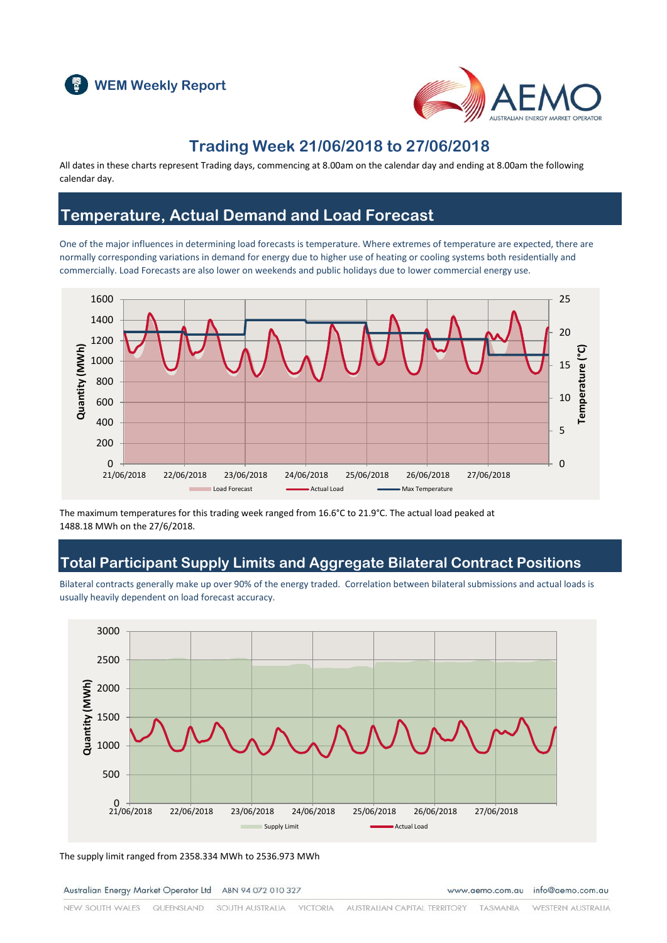



### **Trading Week 21/06/2018 to 27/06/2018**

All dates in these charts represent Trading days, commencing at 8.00am on the calendar day and ending at 8.00am the following calendar day.

#### **Temperature, Actual Demand and Load Forecast**

One of the major influences in determining load forecasts is temperature. Where extremes of temperature are expected, there are normally corresponding variations in demand for energy due to higher use of heating or cooling systems both residentially and commercially. Load Forecasts are also lower on weekends and public holidays due to lower commercial energy use.



The maximum temperatures for this trading week ranged from 16.6°C to 21.9°C. The actual load peaked at 1488.18 MWh on the 27/6/2018.

### **Total Participant Supply Limits and Aggregate Bilateral Contract Positions**

Bilateral contracts generally make up over 90% of the energy traded. Correlation between bilateral submissions and actual loads is usually heavily dependent on load forecast accuracy.



The supply limit ranged from 2358.334 MWh to 2536.973 MWh

Australian Energy Market Operator Ltd ABN 94 072 010 327

www.aemo.com.au info@aemo.com.au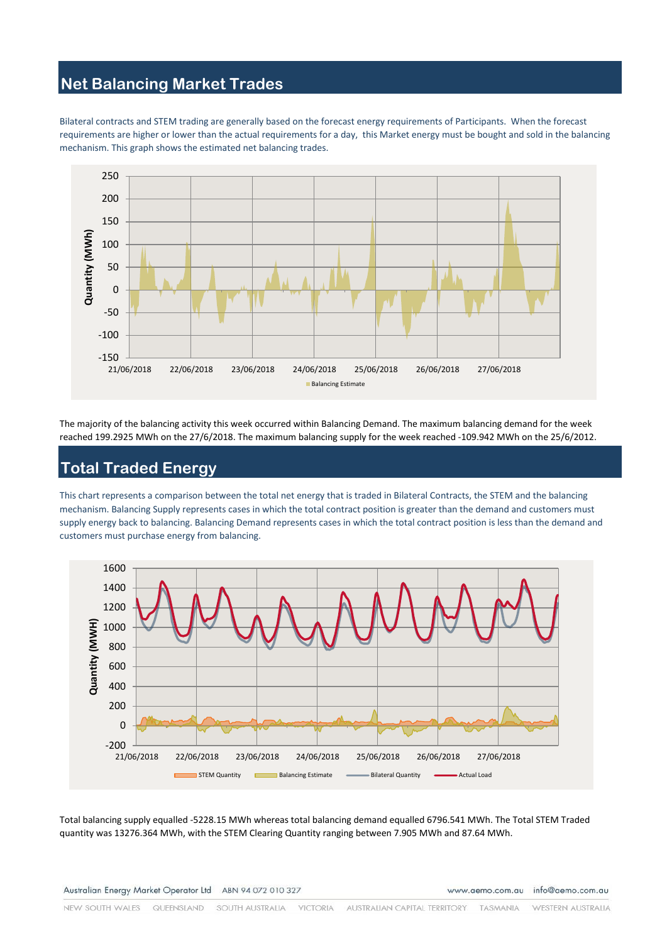## **Net Balancing Market Trades**

Bilateral contracts and STEM trading are generally based on the forecast energy requirements of Participants. When the forecast requirements are higher or lower than the actual requirements for a day, this Market energy must be bought and sold in the balancing mechanism. This graph shows the estimated net balancing trades.



The majority of the balancing activity this week occurred within Balancing Demand. The maximum balancing demand for the week reached 199.2925 MWh on the 27/6/2018. The maximum balancing supply for the week reached -109.942 MWh on the 25/6/2012.

# **Total Traded Energy**

This chart represents a comparison between the total net energy that is traded in Bilateral Contracts, the STEM and the balancing mechanism. Balancing Supply represents cases in which the total contract position is greater than the demand and customers must supply energy back to balancing. Balancing Demand represents cases in which the total contract position is less than the demand and customers must purchase energy from balancing.



Total balancing supply equalled -5228.15 MWh whereas total balancing demand equalled 6796.541 MWh. The Total STEM Traded quantity was 13276.364 MWh, with the STEM Clearing Quantity ranging between 7.905 MWh and 87.64 MWh.

Australian Energy Market Operator Ltd ABN 94 072 010 327

www.aemo.com.au info@aemo.com.au